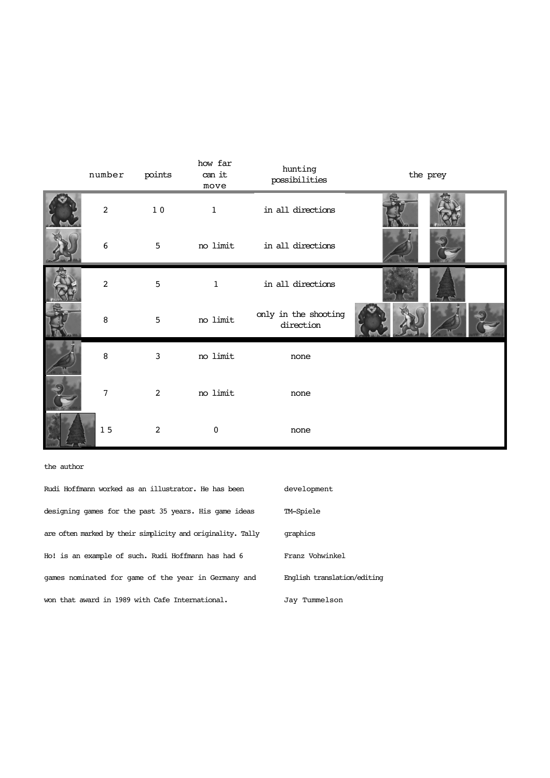| number         | points         | how far<br>can it<br>move | hunting<br>possibilities          | the prey |
|----------------|----------------|---------------------------|-----------------------------------|----------|
| $\overline{c}$ | $1\;0$         | $\mathbf{1}$              | in all directions                 |          |
| 6              | 5              | no limit                  | in all directions                 |          |
| 2              | $\mathbf 5$    | $\mathbf{1}$              | in all directions                 |          |
| 8              | 5              | no limit                  | only in the shooting<br>direction |          |
| 8              | $\mathbf{3}$   | no limit                  | none                              |          |
| 7              | 2              | no limit                  | none                              |          |
| 15             | $\overline{c}$ | $\mathbf 0$               | none                              |          |

the author

| Rudi Hoffmann worked as an illustrator. He has been         | development                 |
|-------------------------------------------------------------|-----------------------------|
| designing games for the past 35 years. His game ideas       | TM-Spiele                   |
| are often marked by their simplicity and originality. Tally | graphics                    |
| Ho! is an example of such. Rudi Hoffmann has had 6          | Franz Vohwinkel             |
| games nominated for game of the year in Germany and         | English translation/editing |
| won that award in 1989 with Cafe International.             | Jav Tummelson               |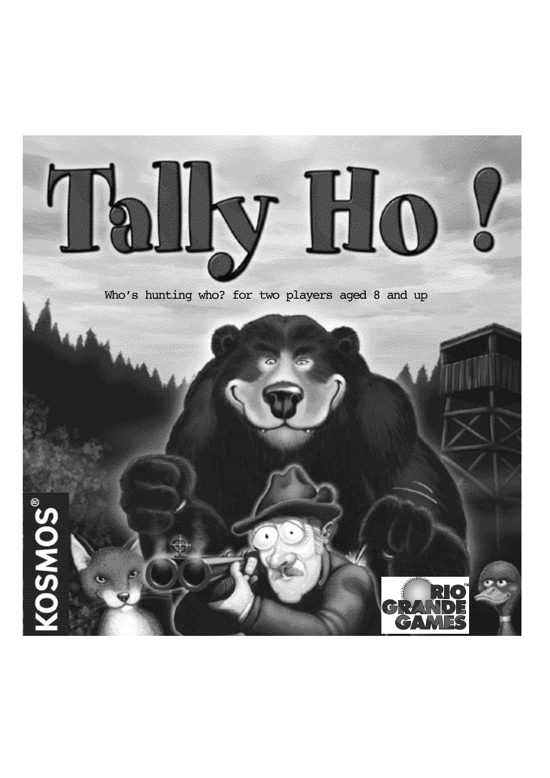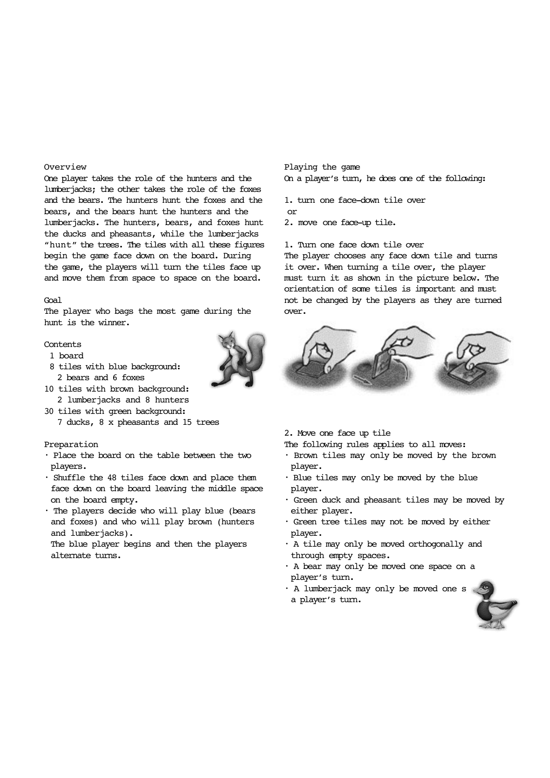## Overview

One player takes the role of the hunters and the lumberjacks; the other takes the role of the foxes and the bears. The hunters hunt the foxes and the bears, and the bears hunt the hunters and the lumberjacks. The hunters, bears, and foxes hunt the ducks and pheasants, while the lumberjacks "hunt" the trees. The tiles with all these figures begin the game face down on the board. During the game, the players will turn the tiles face up and move them from space to space on the board.

#### Goal

The player who bags the most game during the hunt is the winner.

### Contents

- 1 board
- 8 tiles with blue background: 2 bears and 6 foxes
- 10 tiles with brown background: 2 lumberjacks and 8 hunters
- 30 tiles with green background: 7 ducks, 8 x pheasants and 15 trees

## Preparation

- Place the board on the table between the two players.
- Shuffle the 48 tiles face down and place them face down on the board leaving the middle space on the board empty.
- The players decide who will play blue (bears and foxes) and who will play brown (hunters and lumberjacks).

The blue player begins and then the players alternate turns.

Playing the game On a player's turn, he does one of the following:

1. turn one face-down tile over or

2. move one face-up tile.

# 1. Turn one face down tile over

The player chooses any face down tile and turns it over. When turning a tile over, the player must turn it as shown in the picture below. The orientation of some tiles is important and must not be changed by the players as they are turned over.



2. Move one face up tile

The following rules applies to all moves:

- Brown tiles may only be moved by the brown player.
- Blue tiles may only be moved by the blue player.
- Green duck and pheasant tiles may be moved by either player.
- Green tree tiles may not be moved by either player.
- A tile may only be moved orthogonally and through empty spaces.
- A bear may only be moved one space on a player's turn.
- A lumberjack may only be moved one s a player's turn.